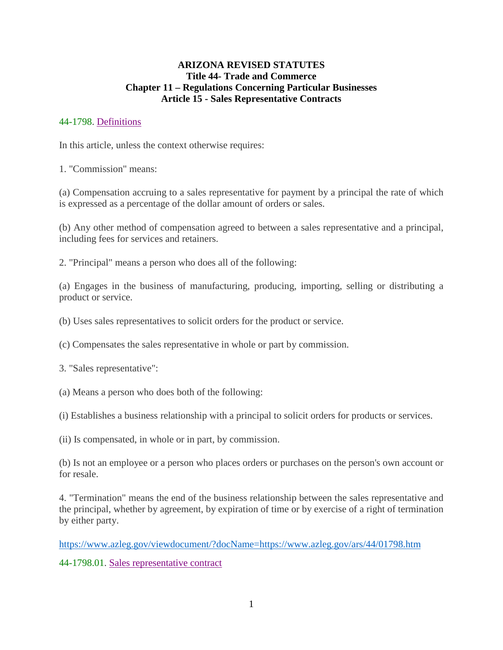### **ARIZONA REVISED STATUTES Title 44- Trade and Commerce Chapter 11 – Regulations Concerning Particular Businesses Article 15 - Sales Representative Contracts**

## 44-1798. Definitions

In this article, unless the context otherwise requires:

1. "Commission" means:

(a) Compensation accruing to a sales representative for payment by a principal the rate of which is expressed as a percentage of the dollar amount of orders or sales.

(b) Any other method of compensation agreed to between a sales representative and a principal, including fees for services and retainers.

2. "Principal" means a person who does all of the following:

(a) Engages in the business of manufacturing, producing, importing, selling or distributing a product or service.

(b) Uses sales representatives to solicit orders for the product or service.

(c) Compensates the sales representative in whole or part by commission.

3. "Sales representative":

(a) Means a person who does both of the following:

(i) Establishes a business relationship with a principal to solicit orders for products or services.

(ii) Is compensated, in whole or in part, by commission.

(b) Is not an employee or a person who places orders or purchases on the person's own account or for resale.

4. "Termination" means the end of the business relationship between the sales representative and the principal, whether by agreement, by expiration of time or by exercise of a right of termination by either party.

https://www.azleg.gov/viewdocument/?docName=https://www.azleg.gov/ars/44/01798.htm

44-1798.01. Sales representative contract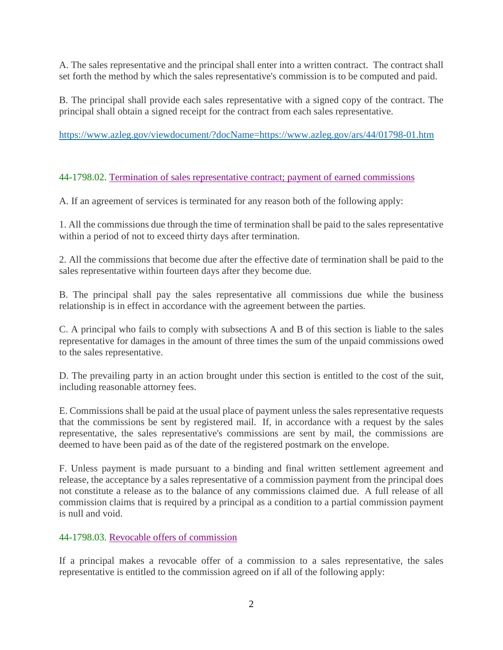A. The sales representative and the principal shall enter into a written contract. The contract shall set forth the method by which the sales representative's commission is to be computed and paid.

B. The principal shall provide each sales representative with a signed copy of the contract. The principal shall obtain a signed receipt for the contract from each sales representative.

https://www.azleg.gov/viewdocument/?docName=https://www.azleg.gov/ars/44/01798-01.htm

### 44-1798.02. Termination of sales representative contract; payment of earned commissions

A. If an agreement of services is terminated for any reason both of the following apply:

1. All the commissions due through the time of termination shall be paid to the sales representative within a period of not to exceed thirty days after termination.

2. All the commissions that become due after the effective date of termination shall be paid to the sales representative within fourteen days after they become due.

B. The principal shall pay the sales representative all commissions due while the business relationship is in effect in accordance with the agreement between the parties.

C. A principal who fails to comply with subsections A and B of this section is liable to the sales representative for damages in the amount of three times the sum of the unpaid commissions owed to the sales representative.

D. The prevailing party in an action brought under this section is entitled to the cost of the suit, including reasonable attorney fees.

E. Commissions shall be paid at the usual place of payment unless the sales representative requests that the commissions be sent by registered mail. If, in accordance with a request by the sales representative, the sales representative's commissions are sent by mail, the commissions are deemed to have been paid as of the date of the registered postmark on the envelope.

F. Unless payment is made pursuant to a binding and final written settlement agreement and release, the acceptance by a sales representative of a commission payment from the principal does not constitute a release as to the balance of any commissions claimed due. A full release of all commission claims that is required by a principal as a condition to a partial commission payment is null and void.

#### 44-1798.03. Revocable offers of commission

If a principal makes a revocable offer of a commission to a sales representative, the sales representative is entitled to the commission agreed on if all of the following apply: